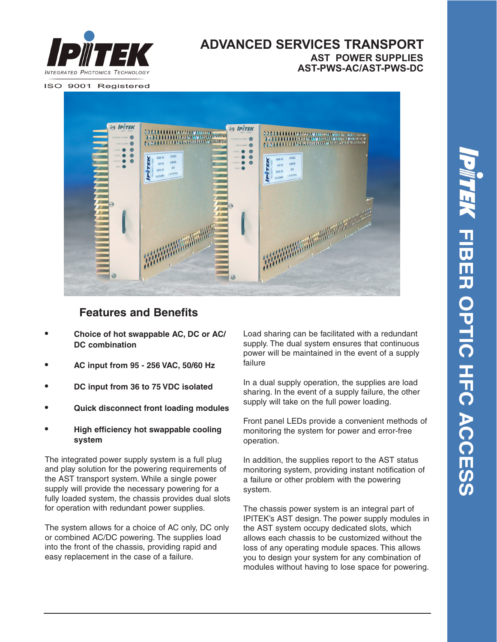

### **ADVANCED SERVICES TRANSPORT AST-PWS-AC/AST-PWS-DC AST POWER SUPPLIES**

ISO 9001 Registered



## **Features and Benefits**

- **• Choice of hot swappable AC, DC or AC/ DC combination**
- **• AC input from 95 256 VAC, 50/60 Hz**
- **• DC input from 36 to 75 VDC isolated**
- **• Quick disconnect front loading modules**
- **• High efficiency hot swappable cooling system**

The integrated power supply system is a full plug and play solution for the powering requirements of the AST transport system. While a single power supply will provide the necessary powering for a fully loaded system, the chassis provides dual slots for operation with redundant power supplies.

The system allows for a choice of AC only, DC only or combined AC/DC powering. The supplies load into the front of the chassis, providing rapid and easy replacement in the case of a failure.

Load sharing can be facilitated with a redundant supply. The dual system ensures that continuous power will be maintained in the event of a supply failure

In a dual supply operation, the supplies are load sharing. In the event of a supply failure, the other supply will take on the full power loading.

Front panel LEDs provide a convenient methods of monitoring the system for power and error-free operation.

In addition, the supplies report to the AST status monitoring system, providing instant notification of a failure or other problem with the powering system.

The chassis power system is an integral part of IPITEK's AST design. The power supply modules in the AST system occupy dedicated slots, which allows each chassis to be customized without the loss of any operating module spaces. This allows you to design your system for any combination of modules without having to lose space for powering.